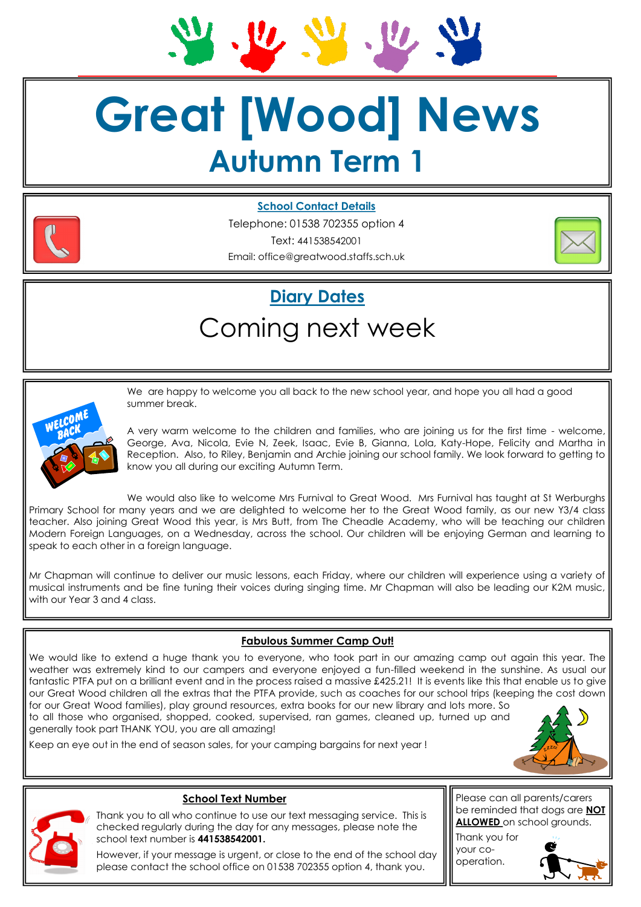$\mathbf{u}$ 

# **Great [Wood] News Autumn Term 1**



**School Contact Details** 

Telephone: 01538 702355 option 4 Text: 441538542001 Email: office@greatwood.staffs.sch.uk



## **Diary Dates**

### Coming next week



We are happy to welcome you all back to the new school year, and hope you all had a good summer break.

A very warm welcome to the children and families, who are joining us for the first time - welcome, George, Ava, Nicola, Evie N, Zeek, Isaac, Evie B, Gianna, Lola, Katy-Hope, Felicity and Martha in Reception. Also, to Riley, Benjamin and Archie joining our school family. We look forward to getting to know you all during our exciting Autumn Term.

We would also like to welcome Mrs Furnival to Great Wood. Mrs Furnival has taught at St Werburghs Primary School for many years and we are delighted to welcome her to the Great Wood family, as our new Y3/4 class teacher. Also joining Great Wood this year, is Mrs Butt, from The Cheadle Academy, who will be teaching our children Modern Foreign Languages, on a Wednesday, across the school. Our children will be enjoying German and learning to speak to each other in a foreign language.

Mr Chapman will continue to deliver our music lessons, each Friday, where our children will experience using a variety of musical instruments and be fine tuning their voices during singing time. Mr Chapman will also be leading our K2M music, with our Year 3 and 4 class.

#### **Fabulous Summer Camp Out!**

We would like to extend a huge thank you to everyone, who took part in our amazing camp out again this year. The weather was extremely kind to our campers and everyone enjoyed a fun-filled weekend in the sunshine. As usual our fantastic PTFA put on a brilliant event and in the process raised a massive £425.21! It is events like this that enable us to give our Great Wood children all the extras that the PTFA provide, such as coaches for our school trips (keeping the cost down for our Great Wood families), play ground resources, extra books for our new library and lots more. So to all those who organised, shopped, cooked, supervised, ran games, cleaned up, turned up and generally took part THANK YOU, you are all amazing!





#### **School Text Number**

Keep an eye out in the end of season sales, for your camping bargains for next year !

Thank you to all who continue to use our text messaging service. This is checked regularly during the day for any messages, please note the school text number is **441538542001.**

However, if your message is urgent, or close to the end of the school day please contact the school office on 01538 702355 option 4, thank you.

Please can all parents/carers be reminded that dogs are **NOT ALLOWED** on school grounds.

Thank you for your cooperation.